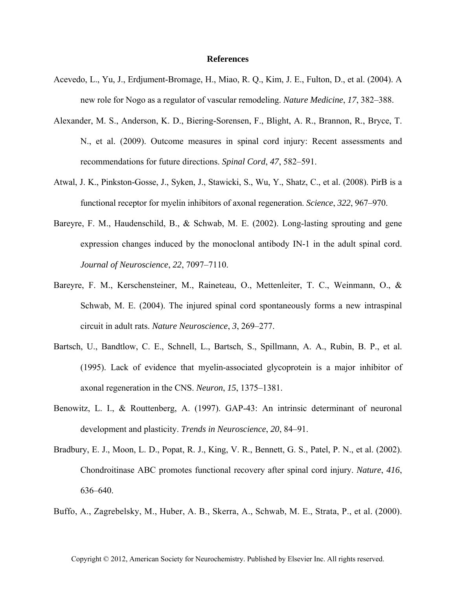## **References**

- Acevedo, L., Yu, J., Erdjument-Bromage, H., Miao, R. Q., Kim, J. E., Fulton, D., et al. (2004). A new role for Nogo as a regulator of vascular remodeling. *Nature Medicine*, *17*, 382–388.
- Alexander, M. S., Anderson, K. D., Biering-Sorensen, F., Blight, A. R., Brannon, R., Bryce, T. N., et al. (2009). Outcome measures in spinal cord injury: Recent assessments and recommendations for future directions. *Spinal Cord*, *47*, 582–591.
- Atwal, J. K., Pinkston-Gosse, J., Syken, J., Stawicki, S., Wu, Y., Shatz, C., et al. (2008). PirB is a functional receptor for myelin inhibitors of axonal regeneration. *Science*, *322*, 967–970.
- Bareyre, F. M., Haudenschild, B., & Schwab, M. E. (2002). Long-lasting sprouting and gene expression changes induced by the monoclonal antibody IN-1 in the adult spinal cord. *Journal of Neuroscience*, *22*, 7097–7110.
- Bareyre, F. M., Kerschensteiner, M., Raineteau, O., Mettenleiter, T. C., Weinmann, O., & Schwab, M. E. (2004). The injured spinal cord spontaneously forms a new intraspinal circuit in adult rats. *Nature Neuroscience*, *3*, 269–277.
- Bartsch, U., Bandtlow, C. E., Schnell, L., Bartsch, S., Spillmann, A. A., Rubin, B. P., et al. (1995). Lack of evidence that myelin-associated glycoprotein is a major inhibitor of axonal regeneration in the CNS. *Neuron*, *15*, 1375–1381.
- Benowitz, L. I., & Routtenberg, A. (1997). GAP-43: An intrinsic determinant of neuronal development and plasticity. *Trends in Neuroscience*, *20*, 84–91.
- Bradbury, E. J., Moon, L. D., Popat, R. J., King, V. R., Bennett, G. S., Patel, P. N., et al. (2002). Chondroitinase ABC promotes functional recovery after spinal cord injury. *Nature*, *416*, 636–640.
- Buffo, A., Zagrebelsky, M., Huber, A. B., Skerra, A., Schwab, M. E., Strata, P., et al. (2000).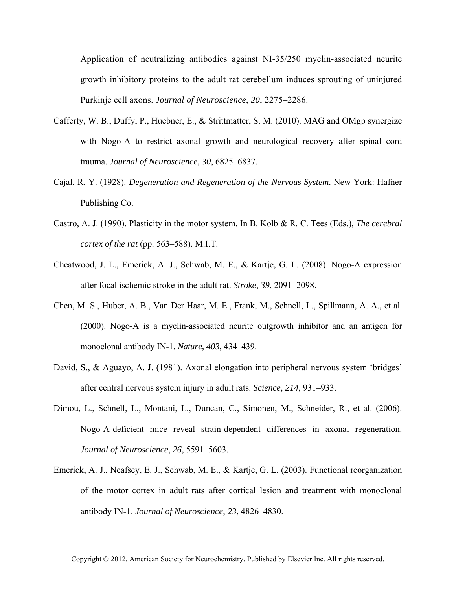Application of neutralizing antibodies against NI-35/250 myelin-associated neurite growth inhibitory proteins to the adult rat cerebellum induces sprouting of uninjured Purkinje cell axons. *Journal of Neuroscience*, *20*, 2275–2286.

- Cafferty, W. B., Duffy, P., Huebner, E., & Strittmatter, S. M. (2010). MAG and OMgp synergize with Nogo-A to restrict axonal growth and neurological recovery after spinal cord trauma. *Journal of Neuroscience*, *30*, 6825–6837.
- Cajal, R. Y. (1928). *Degeneration and Regeneration of the Nervous System*. New York: Hafner Publishing Co.
- Castro, A. J. (1990). Plasticity in the motor system. In B. Kolb & R. C. Tees (Eds.), *The cerebral cortex of the rat* (pp. 563–588). M.I.T.
- Cheatwood, J. L., Emerick, A. J., Schwab, M. E., & Kartje, G. L. (2008). Nogo-A expression after focal ischemic stroke in the adult rat. *Stroke*, *39*, 2091–2098.
- Chen, M. S., Huber, A. B., Van Der Haar, M. E., Frank, M., Schnell, L., Spillmann, A. A., et al. (2000). Nogo-A is a myelin-associated neurite outgrowth inhibitor and an antigen for monoclonal antibody IN-1. *Nature*, *403*, 434–439.
- David, S., & Aguayo, A. J. (1981). Axonal elongation into peripheral nervous system 'bridges' after central nervous system injury in adult rats. *Science*, *214*, 931–933.
- Dimou, L., Schnell, L., Montani, L., Duncan, C., Simonen, M., Schneider, R., et al. (2006). Nogo-A-deficient mice reveal strain-dependent differences in axonal regeneration. *Journal of Neuroscience*, *26*, 5591–5603.
- Emerick, A. J., Neafsey, E. J., Schwab, M. E., & Kartje, G. L. (2003). Functional reorganization of the motor cortex in adult rats after cortical lesion and treatment with monoclonal antibody IN-1. *Journal of Neuroscience*, *23*, 4826–4830.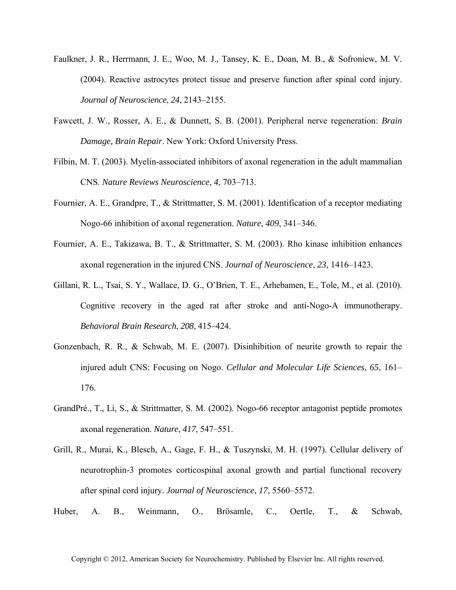- Faulkner, J. R., Herrmann, J. E., Woo, M. J., Tansey, K. E., Doan, M. B., & Sofroniew, M. V. (2004). Reactive astrocytes protect tissue and preserve function after spinal cord injury. *Journal of Neuroscience*, *24*, 2143–2155.
- Fawcett, J. W., Rosser, A. E., & Dunnett, S. B. (2001). Peripheral nerve regeneration: *Brain Damage, Brain Repair*. New York: Oxford University Press.
- Filbin, M. T. (2003). Myelin-associated inhibitors of axonal regeneration in the adult mammalian CNS. *Nature Reviews Neuroscience*, *4*, 703–713.
- Fournier, A. E., Grandpre, T., & Strittmatter, S. M. (2001). Identification of a receptor mediating Nogo-66 inhibition of axonal regeneration. *Nature*, *409*, 341–346.
- Fournier, A. E., Takizawa, B. T., & Strittmatter, S. M. (2003). Rho kinase inhibition enhances axonal regeneration in the injured CNS. *Journal of Neuroscience*, *23*, 1416–1423.
- Gillani, R. L., Tsai, S. Y., Wallace, D. G., O'Brien, T. E., Arhebamen, E., Tole, M., et al. (2010). Cognitive recovery in the aged rat after stroke and anti-Nogo-A immunotherapy. *Behavioral Brain Research*, *208*, 415–424.
- Gonzenbach, R. R., & Schwab, M. E. (2007). Disinhibition of neurite growth to repair the injured adult CNS: Focusing on Nogo. *Cellular and Molecular Life Sciences*, *65*, 161– 176.
- GrandPré., T., Li, S., & Strittmatter, S. M. (2002). Nogo-66 receptor antagonist peptide promotes axonal regeneration. *Nature*, *417*, 547–551.
- Grill, R., Murai, K., Blesch, A., Gage, F. H., & Tuszynski, M. H. (1997). Cellular delivery of neurotrophin-3 promotes corticospinal axonal growth and partial functional recovery after spinal cord injury. *Journal of Neuroscience*, *17*, 5560–5572.
- Huber, A. B., Weinmann, O., Brösamle, C., Oertle, T., & Schwab,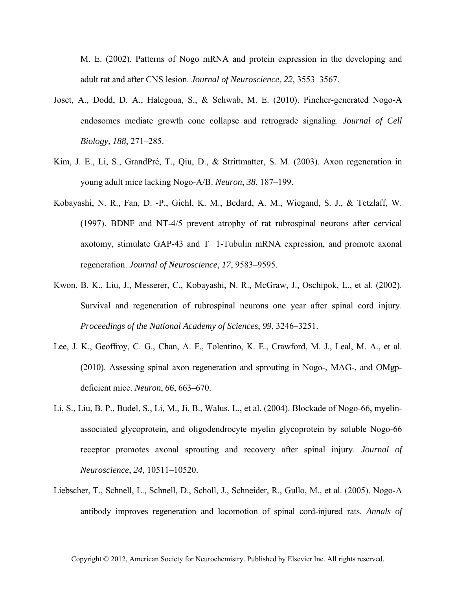M. E. (2002). Patterns of Nogo mRNA and protein expression in the developing and adult rat and after CNS lesion. *Journal of Neuroscience*, *22*, 3553–3567.

- Joset, A., Dodd, D. A., Halegoua, S., & Schwab, M. E. (2010). Pincher-generated Nogo-A endosomes mediate growth cone collapse and retrograde signaling. *Journal of Cell Biology*, *188*, 271–285.
- Kim, J. E., Li, S., GrandPré, T., Qiu, D., & Strittmatter, S. M. (2003). Axon regeneration in young adult mice lacking Nogo-A/B. *Neuron*, *38*, 187–199.
- Kobayashi, N. R., Fan, D. -P., Giehl, K. M., Bedard, A. M., Wiegand, S. J., & Tetzlaff, W. (1997). BDNF and NT-4/5 prevent atrophy of rat rubrospinal neurons after cervical axotomy, stimulate GAP-43 and  $T$  1-Tubulin mRNA expression, and promote axonal regeneration. *Journal of Neuroscience*, *17*, 9583–9595.
- Kwon, B. K., Liu, J., Messerer, C., Kobayashi, N. R., McGraw, J., Oschipok, L., et al. (2002). Survival and regeneration of rubrospinal neurons one year after spinal cord injury. *Proceedings of the National Academy of Sciences*, *99*, 3246–3251.
- Lee, J. K., Geoffroy, C. G., Chan, A. F., Tolentino, K. E., Crawford, M. J., Leal, M. A., et al. (2010). Assessing spinal axon regeneration and sprouting in Nogo-, MAG-, and OMgpdeficient mice. *Neuron*, *66*, 663–670.
- Li, S., Liu, B. P., Budel, S., Li, M., Ji, B., Walus, L., et al. (2004). Blockade of Nogo-66, myelinassociated glycoprotein, and oligodendrocyte myelin glycoprotein by soluble Nogo-66 receptor promotes axonal sprouting and recovery after spinal injury. *Journal of Neuroscience*, *24*, 10511–10520.
- Liebscher, T., Schnell, L., Schnell, D., Scholl, J., Schneider, R., Gullo, M., et al. (2005). Nogo-A antibody improves regeneration and locomotion of spinal cord-injured rats. *Annals of*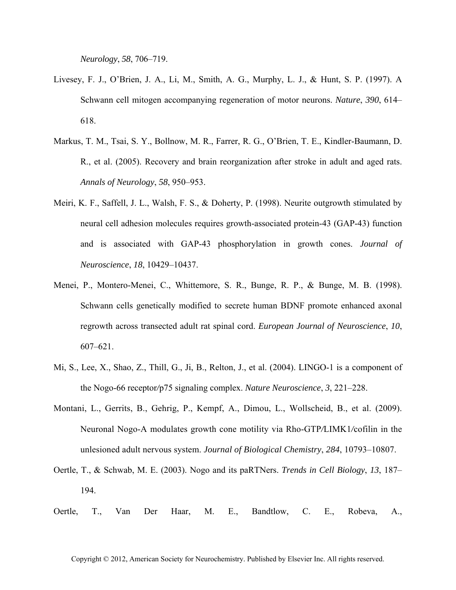*Neurology*, *58*, 706–719.

- Livesey, F. J., O'Brien, J. A., Li, M., Smith, A. G., Murphy, L. J., & Hunt, S. P. (1997). A Schwann cell mitogen accompanying regeneration of motor neurons. *Nature*, *390*, 614– 618.
- Markus, T. M., Tsai, S. Y., Bollnow, M. R., Farrer, R. G., O'Brien, T. E., Kindler-Baumann, D. R., et al. (2005). Recovery and brain reorganization after stroke in adult and aged rats. *Annals of Neurology*, *58*, 950–953.
- Meiri, K. F., Saffell, J. L., Walsh, F. S., & Doherty, P. (1998). Neurite outgrowth stimulated by neural cell adhesion molecules requires growth-associated protein-43 (GAP-43) function and is associated with GAP-43 phosphorylation in growth cones. *Journal of Neuroscience*, *18*, 10429–10437.
- Menei, P., Montero-Menei, C., Whittemore, S. R., Bunge, R. P., & Bunge, M. B. (1998). Schwann cells genetically modified to secrete human BDNF promote enhanced axonal regrowth across transected adult rat spinal cord. *European Journal of Neuroscience*, *10*, 607–621.
- Mi, S., Lee, X., Shao, Z., Thill, G., Ji, B., Relton, J., et al. (2004). LINGO-1 is a component of the Nogo-66 receptor*/*p75 signaling complex. *Nature Neuroscience*, *3*, 221–228.
- Montani, L., Gerrits, B., Gehrig, P., Kempf, A., Dimou, L., Wollscheid, B., et al. (2009). Neuronal Nogo-A modulates growth cone motility via Rho-GTP*/*LIMK1*/*cofilin in the unlesioned adult nervous system. *Journal of Biological Chemistry*, *284*, 10793–10807.
- Oertle, T., & Schwab, M. E. (2003). Nogo and its paRTNers. *Trends in Cell Biology*, *13*, 187– 194.
- Oertle, T., Van Der Haar, M. E., Bandtlow, C. E., Robeva, A.,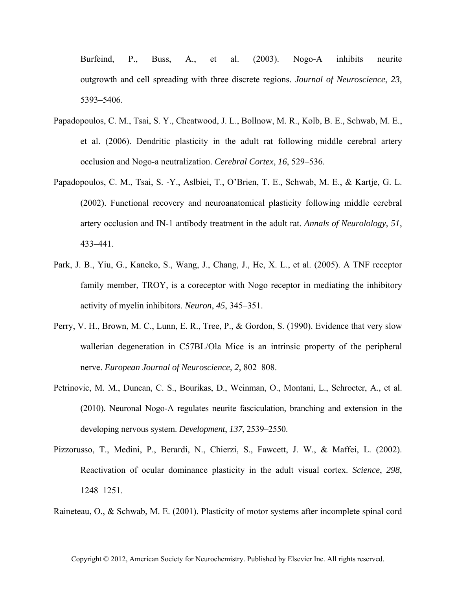Burfeind, P., Buss, A., et al. (2003). Nogo-A inhibits neurite outgrowth and cell spreading with three discrete regions. *Journal of Neuroscience*, *23*, 5393–5406.

- Papadopoulos, C. M., Tsai, S. Y., Cheatwood, J. L., Bollnow, M. R., Kolb, B. E., Schwab, M. E., et al. (2006). Dendritic plasticity in the adult rat following middle cerebral artery occlusion and Nogo-a neutralization. *Cerebral Cortex*, *16*, 529–536.
- Papadopoulos, C. M., Tsai, S. -Y., Aslbiei, T., O'Brien, T. E., Schwab, M. E., & Kartje, G. L. (2002). Functional recovery and neuroanatomical plasticity following middle cerebral artery occlusion and IN-1 antibody treatment in the adult rat. *Annals of Neurolology*, *51*, 433–441.
- Park, J. B., Yiu, G., Kaneko, S., Wang, J., Chang, J., He, X. L., et al. (2005). A TNF receptor family member, TROY, is a coreceptor with Nogo receptor in mediating the inhibitory activity of myelin inhibitors. *Neuron*, *45*, 345–351.
- Perry, V. H., Brown, M. C., Lunn, E. R., Tree, P., & Gordon, S. (1990). Evidence that very slow wallerian degeneration in C57BL/Ola Mice is an intrinsic property of the peripheral nerve. *European Journal of Neuroscience*, *2*, 802–808.
- Petrinovic, M. M., Duncan, C. S., Bourikas, D., Weinman, O., Montani, L., Schroeter, A., et al. (2010). Neuronal Nogo-A regulates neurite fasciculation, branching and extension in the developing nervous system. *Development*, *137*, 2539–2550.
- Pizzorusso, T., Medini, P., Berardi, N., Chierzi, S., Fawcett, J. W., & Maffei, L. (2002). Reactivation of ocular dominance plasticity in the adult visual cortex. *Science*, *298*, 1248–1251.

Raineteau, O., & Schwab, M. E. (2001). Plasticity of motor systems after incomplete spinal cord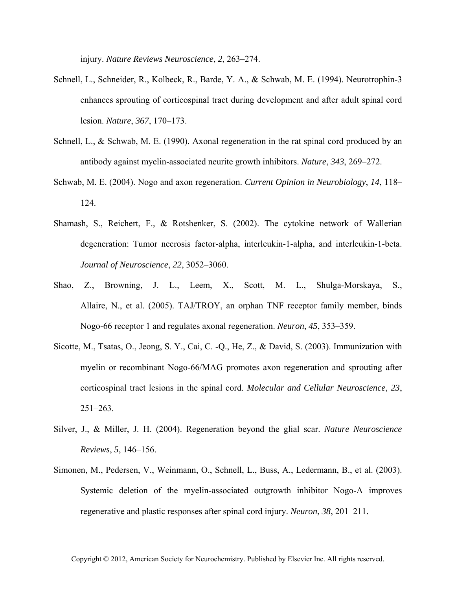injury. *Nature Reviews Neuroscience*, *2*, 263–274.

- Schnell, L., Schneider, R., Kolbeck, R., Barde, Y. A., & Schwab, M. E. (1994). Neurotrophin-3 enhances sprouting of corticospinal tract during development and after adult spinal cord lesion. *Nature*, *367*, 170–173.
- Schnell, L., & Schwab, M. E. (1990). Axonal regeneration in the rat spinal cord produced by an antibody against myelin-associated neurite growth inhibitors. *Nature*, *343*, 269–272.
- Schwab, M. E. (2004). Nogo and axon regeneration. *Current Opinion in Neurobiology*, *14*, 118– 124.
- Shamash, S., Reichert, F., & Rotshenker, S. (2002). The cytokine network of Wallerian degeneration: Tumor necrosis factor-alpha, interleukin-1-alpha, and interleukin-1-beta. *Journal of Neuroscience*, *22*, 3052–3060.
- Shao, Z., Browning, J. L., Leem, X., Scott, M. L., Shulga-Morskaya, S., Allaire, N., et al. (2005). TAJ/TROY, an orphan TNF receptor family member, binds Nogo-66 receptor 1 and regulates axonal regeneration. *Neuron*, *45*, 353–359.
- Sicotte, M., Tsatas, O., Jeong, S. Y., Cai, C. -Q., He, Z., & David, S. (2003). Immunization with myelin or recombinant Nogo-66/MAG promotes axon regeneration and sprouting after corticospinal tract lesions in the spinal cord. *Molecular and Cellular Neuroscience*, *23*,  $251 - 263$ .
- Silver, J., & Miller, J. H. (2004). Regeneration beyond the glial scar. *Nature Neuroscience Reviews*, *5*, 146–156.
- Simonen, M., Pedersen, V., Weinmann, O., Schnell, L., Buss, A., Ledermann, B., et al. (2003). Systemic deletion of the myelin-associated outgrowth inhibitor Nogo-A improves regenerative and plastic responses after spinal cord injury. *Neuron*, *38*, 201–211.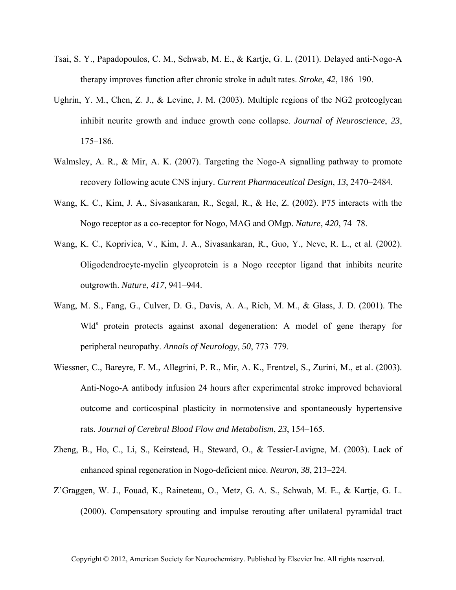- Tsai, S. Y., Papadopoulos, C. M., Schwab, M. E., & Kartje, G. L. (2011). Delayed anti-Nogo-A therapy improves function after chronic stroke in adult rates. *Stroke*, *42*, 186–190.
- Ughrin, Y. M., Chen, Z. J., & Levine, J. M. (2003). Multiple regions of the NG2 proteoglycan inhibit neurite growth and induce growth cone collapse. *Journal of Neuroscience*, *23*, 175–186.
- Walmsley, A. R., & Mir, A. K. (2007). Targeting the Nogo-A signalling pathway to promote recovery following acute CNS injury. *Current Pharmaceutical Design*, *13*, 2470–2484.
- Wang, K. C., Kim, J. A., Sivasankaran, R., Segal, R., & He, Z. (2002). P75 interacts with the Nogo receptor as a co-receptor for Nogo, MAG and OMgp. *Nature*, *420*, 74–78.
- Wang, K. C., Koprivica, V., Kim, J. A., Sivasankaran, R., Guo, Y., Neve, R. L., et al. (2002). Oligodendrocyte-myelin glycoprotein is a Nogo receptor ligand that inhibits neurite outgrowth. *Nature*, *417*, 941–944.
- Wang, M. S., Fang, G., Culver, D. G., Davis, A. A., Rich, M. M., & Glass, J. D. (2001). The Wld<sup>s</sup> protein protects against axonal degeneration: A model of gene therapy for peripheral neuropathy. *Annals of Neurology*, *50*, 773–779.
- Wiessner, C., Bareyre, F. M., Allegrini, P. R., Mir, A. K., Frentzel, S., Zurini, M., et al. (2003). Anti-Nogo-A antibody infusion 24 hours after experimental stroke improved behavioral outcome and corticospinal plasticity in normotensive and spontaneously hypertensive rats. *Journal of Cerebral Blood Flow and Metabolism*, *23*, 154–165.
- Zheng, B., Ho, C., Li, S., Keirstead, H., Steward, O., & Tessier-Lavigne, M. (2003). Lack of enhanced spinal regeneration in Nogo-deficient mice. *Neuron*, *38*, 213–224.
- Z'Graggen, W. J., Fouad, K., Raineteau, O., Metz, G. A. S., Schwab, M. E., & Kartje, G. L. (2000). Compensatory sprouting and impulse rerouting after unilateral pyramidal tract